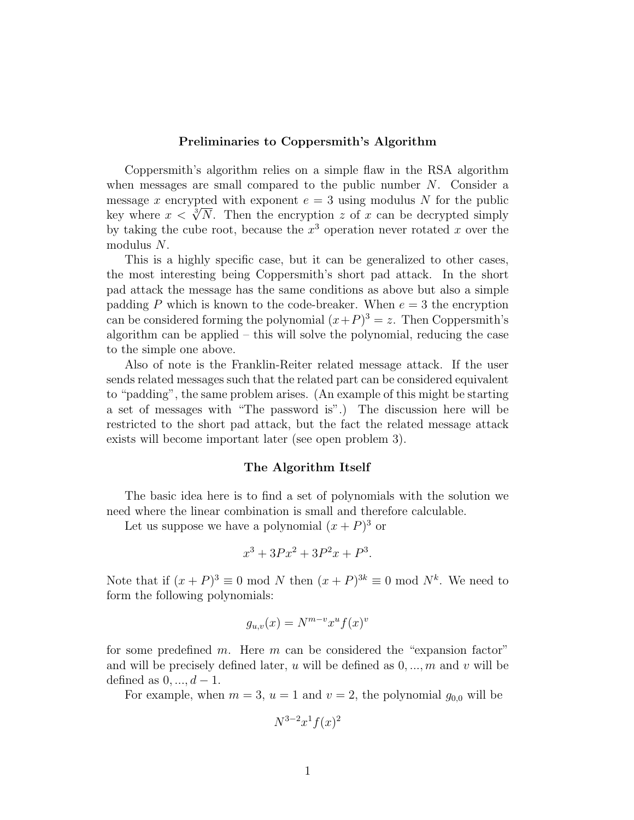## Preliminaries to Coppersmith's Algorithm

Coppersmith's algorithm relies on a simple flaw in the RSA algorithm when messages are small compared to the public number  $N$ . Consider a message x encrypted with exponent  $e = 3$  using modulus N for the public key where  $x < \sqrt[3]{N}$ . Then the encryption z of x can be decrypted simply by taking the cube root, because the  $x^3$  operation never rotated x over the modulus N.

This is a highly specific case, but it can be generalized to other cases, the most interesting being Coppersmith's short pad attack. In the short pad attack the message has the same conditions as above but also a simple padding P which is known to the code-breaker. When  $e = 3$  the encryption can be considered forming the polynomial  $(x+P)^3 = z$ . Then Coppersmith's algorithm can be applied  $-$  this will solve the polynomial, reducing the case to the simple one above.

Also of note is the Franklin-Reiter related message attack. If the user sends related messages such that the related part can be considered equivalent to "padding", the same problem arises. (An example of this might be starting a set of messages with "The password is".) The discussion here will be restricted to the short pad attack, but the fact the related message attack exists will become important later (see open problem 3).

## The Algorithm Itself

The basic idea here is to find a set of polynomials with the solution we need where the linear combination is small and therefore calculable.

Let us suppose we have a polynomial  $(x + P)^3$  or

$$
x^3 + 3Px^2 + 3P^2x + P^3.
$$

Note that if  $(x+P)^3 \equiv 0 \mod N$  then  $(x+P)^{3k} \equiv 0 \mod N^k$ . We need to form the following polynomials:

$$
g_{u,v}(x) = N^{m-v} x^u f(x)^v
$$

for some predefined m. Here m can be considered the "expansion factor" and will be precisely defined later, u will be defined as  $0, ..., m$  and v will be defined as  $0, \ldots, d-1$ .

For example, when  $m = 3$ ,  $u = 1$  and  $v = 2$ , the polynomial  $g_{0,0}$  will be

$$
N^{3-2}x^1f(x)^2
$$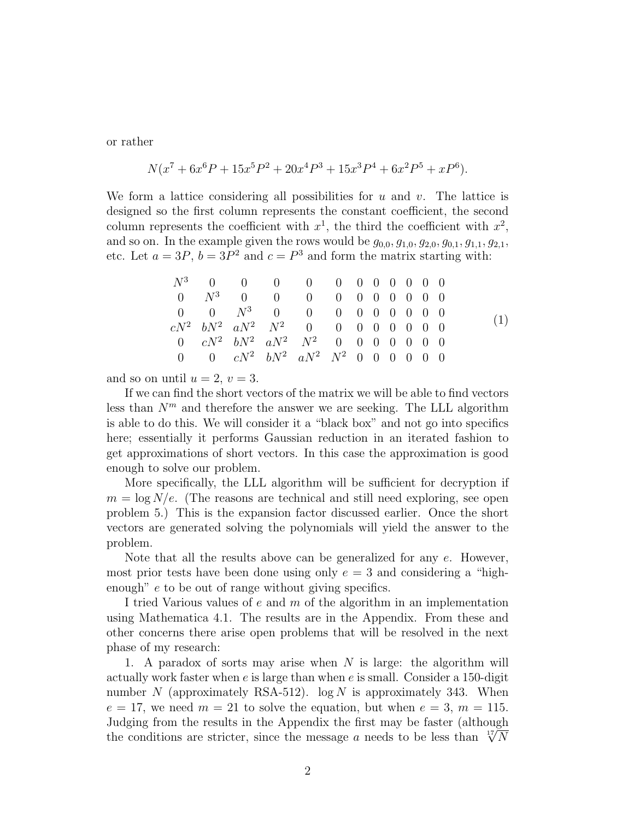or rather

$$
N(x7 + 6x6P + 15x5P2 + 20x4P3 + 15x3P4 + 6x2P5 + xP6).
$$

We form a lattice considering all possibilities for u and v. The lattice is designed so the first column represents the constant coefficient, the second column represents the coefficient with  $x^1$ , the third the coefficient with  $x^2$ , and so on. In the example given the rows would be  $g_{0,0}, g_{1,0}, g_{2,0}, g_{0,1}, g_{1,1}, g_{2,1}$ , etc. Let  $a = 3P$ ,  $b = 3P^2$  and  $c = P^3$  and form the matrix starting with:

|  | $N^3$ 0 0 0 0 0 0 0 0 0 0 0                             |  |  |  |  |  |  |
|--|---------------------------------------------------------|--|--|--|--|--|--|
|  | $0 \t N^3 \t 0 \t 0 \t 0 \t 0 \t 0 \t 0 \t 0 \t 0 \t 0$ |  |  |  |  |  |  |
|  | $0 \t 0 \t N^3 \t 0 \t 0 \t 0 \t 0 \t 0 \t 0 \t 0 \t 0$ |  |  |  |  |  |  |
|  | $cN^2$ $bN^2$ $aN^2$ $N^2$ 0 0 0 0 0 0 0 0              |  |  |  |  |  |  |
|  | 0 $cN^2$ $bN^2$ $aN^2$ $N^2$ 0 0 0 0 0 0 0              |  |  |  |  |  |  |
|  | 0 0 $cN^2$ $bN^2$ $aN^2$ $N^2$ 0 0 0 0 0 0              |  |  |  |  |  |  |

and so on until  $u = 2$ ,  $v = 3$ .

If we can find the short vectors of the matrix we will be able to find vectors less than  $N<sup>m</sup>$  and therefore the answer we are seeking. The LLL algorithm is able to do this. We will consider it a "black box" and not go into specifics here; essentially it performs Gaussian reduction in an iterated fashion to get approximations of short vectors. In this case the approximation is good enough to solve our problem.

More specifically, the LLL algorithm will be sufficient for decryption if  $m = \log N/e$ . (The reasons are technical and still need exploring, see open problem 5.) This is the expansion factor discussed earlier. Once the short vectors are generated solving the polynomials will yield the answer to the problem.

Note that all the results above can be generalized for any  $e$ . However, most prior tests have been done using only  $e = 3$  and considering a "highenough" e to be out of range without giving specifics.

I tried Various values of e and m of the algorithm in an implementation using Mathematica 4.1. The results are in the Appendix. From these and other concerns there arise open problems that will be resolved in the next phase of my research:

1. A paradox of sorts may arise when  $N$  is large: the algorithm will actually work faster when  $e$  is large than when  $e$  is small. Consider a 150-digit number N (approximately RSA-512).  $log N$  is approximately 343. When  $e = 17$ , we need  $m = 21$  to solve the equation, but when  $e = 3$ ,  $m = 115$ . Judging from the results in the Appendix the first may be faster (although Judging from the results in the Appendix the first may be faster (although the conditions are stricter, since the message a needs to be less than  $\sqrt[17]{N}$